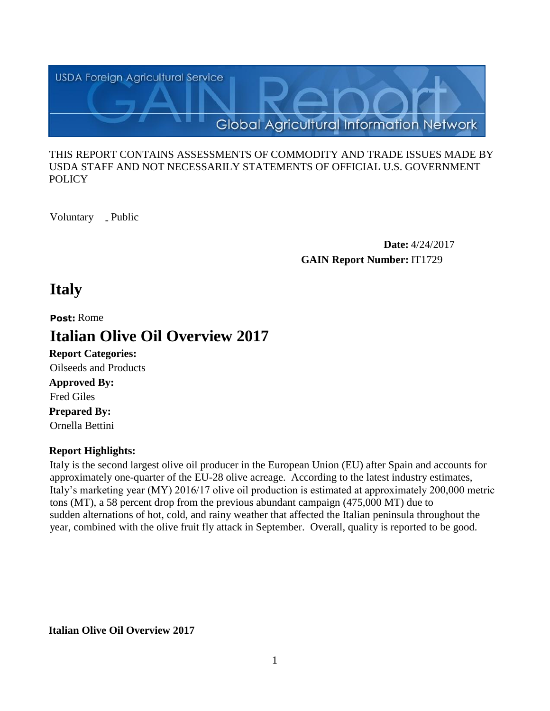

#### THIS REPORT CONTAINS ASSESSMENTS OF COMMODITY AND TRADE ISSUES MADE BY USDA STAFF AND NOT NECESSARILY STATEMENTS OF OFFICIAL U.S. GOVERNMENT **POLICY**

Voluntary \_ Public

**Date:** 4/24/2017 **GAIN Report Number:** IT1729

# **Italy**

**Post:** Rome

# **Italian Olive Oil Overview 2017**

**Report Categories: Approved By: Prepared By:**  Ornella Bettini Fred Giles Oilseeds and Products

### **Report Highlights:**

Italy is the second largest olive oil producer in the European Union (EU) after Spain and accounts for approximately one-quarter of the EU-28 olive acreage. According to the latest industry estimates, Italy's marketing year (MY) 2016/17 olive oil production is estimated at approximately 200,000 metric tons (MT), a 58 percent drop from the previous abundant campaign (475,000 MT) due to sudden alternations of hot, cold, and rainy weather that affected the Italian peninsula throughout the year, combined with the olive fruit fly attack in September. Overall, quality is reported to be good.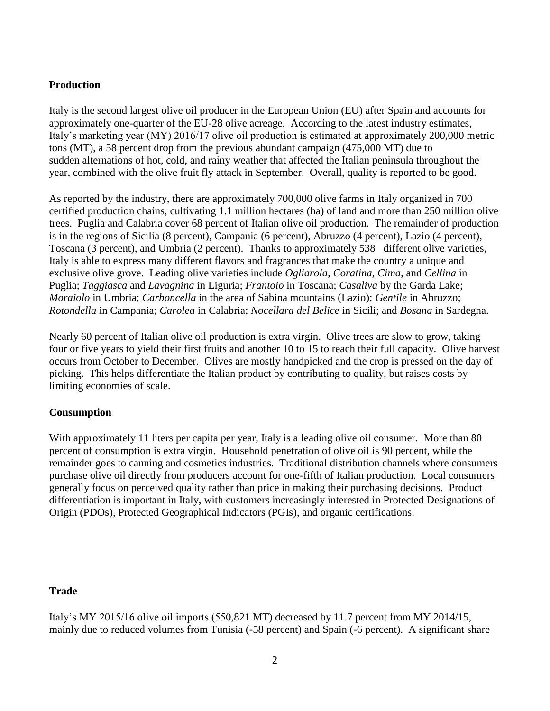#### **Production**

Italy is the second largest olive oil producer in the European Union (EU) after Spain and accounts for approximately one-quarter of the EU-28 olive acreage. According to the latest industry estimates, Italy's marketing year (MY) 2016/17 olive oil production is estimated at approximately 200,000 metric tons (MT), a 58 percent drop from the previous abundant campaign (475,000 MT) due to sudden alternations of hot, cold, and rainy weather that affected the Italian peninsula throughout the year, combined with the olive fruit fly attack in September. Overall, quality is reported to be good.

As reported by the industry, there are approximately 700,000 olive farms in Italy organized in 700 certified production chains, cultivating 1.1 million hectares (ha) of land and more than 250 million olive trees. Puglia and Calabria cover 68 percent of Italian olive oil production. The remainder of production is in the regions of Sicilia (8 percent), Campania (6 percent), Abruzzo (4 percent), Lazio (4 percent), Toscana (3 percent), and Umbria (2 percent). Thanks to approximately 538 different olive varieties, Italy is able to express many different flavors and fragrances that make the country a unique and exclusive olive grove. Leading olive varieties include *Ogliarola*, *Coratina*, *Cima*, and *Cellina* in Puglia; *Taggiasca* and *Lavagnina* in Liguria; *Frantoio* in Toscana; *Casaliva* by the Garda Lake; *Moraiolo* in Umbria; *Carboncella* in the area of Sabina mountains (Lazio); *Gentile* in Abruzzo; *Rotondella* in Campania; *Carolea* in Calabria; *Nocellara del Belice* in Sicili; and *Bosana* in Sardegna.

Nearly 60 percent of Italian olive oil production is extra virgin. Olive trees are slow to grow, taking four or five years to yield their first fruits and another 10 to 15 to reach their full capacity. Olive harvest occurs from October to December. Olives are mostly handpicked and the crop is pressed on the day of picking. This helps differentiate the Italian product by contributing to quality, but raises costs by limiting economies of scale.

#### **Consumption**

With approximately 11 liters per capita per year, Italy is a leading olive oil consumer. More than 80 percent of consumption is extra virgin. Household penetration of olive oil is 90 percent, while the remainder goes to canning and cosmetics industries. Traditional distribution channels where consumers purchase olive oil directly from producers account for one-fifth of Italian production. Local consumers generally focus on perceived quality rather than price in making their purchasing decisions. Product differentiation is important in Italy, with customers increasingly interested in Protected Designations of Origin (PDOs), Protected Geographical Indicators (PGIs), and organic certifications.

#### **Trade**

Italy's MY 2015/16 olive oil imports (550,821 MT) decreased by 11.7 percent from MY 2014/15, mainly due to reduced volumes from Tunisia (-58 percent) and Spain (-6 percent). A significant share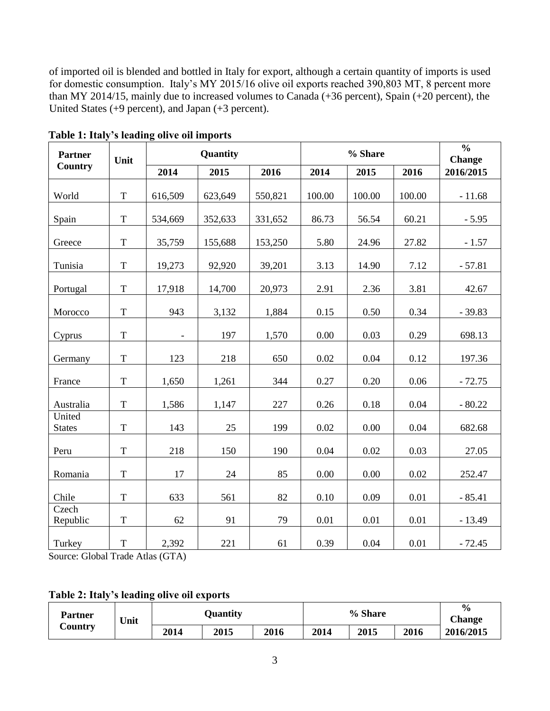of imported oil is blended and bottled in Italy for export, although a certain quantity of imports is used for domestic consumption. Italy's MY 2015/16 olive oil exports reached 390,803 MT, 8 percent more than MY 2014/15, mainly due to increased volumes to Canada (+36 percent), Spain (+20 percent), the United States (+9 percent), and Japan (+3 percent).

| <b>Partner</b><br><b>Country</b> | Unit           | Quantity                 |         |         |        | $\frac{0}{0}$<br><b>Change</b> |        |           |
|----------------------------------|----------------|--------------------------|---------|---------|--------|--------------------------------|--------|-----------|
|                                  |                | 2014                     | 2015    | 2016    | 2014   | 2015                           | 2016   | 2016/2015 |
| World                            | $\mathbf T$    | 616,509                  | 623,649 | 550,821 | 100.00 | 100.00                         | 100.00 | $-11.68$  |
| Spain                            | $\mathbf T$    | 534,669                  | 352,633 | 331,652 | 86.73  | 56.54                          | 60.21  | $-5.95$   |
| Greece                           | $\mathbf T$    | 35,759                   | 155,688 | 153,250 | 5.80   | 24.96                          | 27.82  | $-1.57$   |
| Tunisia                          | $\mathbf T$    | 19,273                   | 92,920  | 39,201  | 3.13   | 14.90                          | 7.12   | $-57.81$  |
| Portugal                         | $\mathbf T$    | 17,918                   | 14,700  | 20,973  | 2.91   | 2.36                           | 3.81   | 42.67     |
| Morocco                          | $\mathbf T$    | 943                      | 3,132   | 1,884   | 0.15   | 0.50                           | 0.34   | $-39.83$  |
| Cyprus                           | $\mathbf T$    | $\overline{\phantom{a}}$ | 197     | 1,570   | 0.00   | 0.03                           | 0.29   | 698.13    |
| Germany                          | $\mathbf T$    | 123                      | 218     | 650     | 0.02   | 0.04                           | 0.12   | 197.36    |
| France                           | $\mathbf T$    | 1,650                    | 1,261   | 344     | 0.27   | 0.20                           | 0.06   | $-72.75$  |
| Australia                        | $\mathbf T$    | 1,586                    | 1,147   | 227     | 0.26   | 0.18                           | 0.04   | $-80.22$  |
| United<br><b>States</b>          | $\mathbf T$    | 143                      | 25      | 199     | 0.02   | 0.00                           | 0.04   | 682.68    |
| Peru                             | $\mathbf T$    | 218                      | 150     | 190     | 0.04   | 0.02                           | 0.03   | 27.05     |
| Romania                          | $\overline{T}$ | 17                       | 24      | 85      | 0.00   | 0.00                           | 0.02   | 252.47    |
| Chile                            | T              | 633                      | 561     | 82      | 0.10   | 0.09                           | 0.01   | $-85.41$  |
| Czech<br>Republic                | $\mathbf T$    | 62                       | 91      | 79      | 0.01   | 0.01                           | 0.01   | $-13.49$  |
| Turkey                           | $\mathbf T$    | 2,392                    | 221     | 61      | 0.39   | 0.04                           | 0.01   | $-72.45$  |

**Table 1: Italy's leading olive oil imports**

Source: Global Trade Atlas (GTA)

#### **Table 2: Italy's leading olive oil exports**

| Partner<br>$\mathcal{L}$ ountry | Unit | <b>Quantity</b> |      |      | % Share |      |      | $\frac{6}{6}$<br><b>Change</b> |
|---------------------------------|------|-----------------|------|------|---------|------|------|--------------------------------|
|                                 |      | 2014            | 2015 | 2016 | 2014    | 2015 | 2016 | 2016/2015                      |